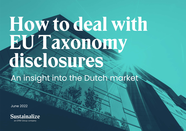# How to deal with EU Taxonomy disclosures?

An insight into the Dutch market

June 2022

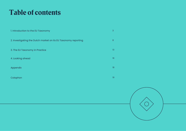# Table of contents

| 1. Introduction to the EU Taxonomy                             | 3  |
|----------------------------------------------------------------|----|
| 2. Investigating the Dutch market on its EU Taxonomy reporting | 8  |
| 3. The EU Taxonomy in Practice                                 | 13 |
| 4. Looking ahead                                               | 16 |
| Appendix                                                       | 18 |
| Colophon                                                       | 19 |

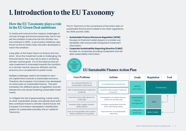# 1. Introduction to the EU Taxonomy

# How the EU Taxonomy plays a role in the EU Green Deal ambitions

To tackle and overcome the massive challenges of climate change and environmental risks, the EU has set the ambition to become the first climate-neutral continent in 2050. A set of policy initiatives, also known as the EU Green Deal, has been developed to reach this ambition.

A key pillar of the Green Deal is to finance the transition. Since the investment scale is challenging, the financial sector has a key role to play in achieving climate-neutral goals. It is of the essence that private investment is channeled towards the transition to a climate-neutral, resource-efficient, and fair economy as a complement to public funds.

Multiple challenges need to be tackled to reorient capital flows towards a sustainable economy. Therefore, the European Commission has developed an action plan on sustainable finance. This plan translates into different pieces of legislation and addresses the core issues hindering sustainable investments.

To mitigate the risk of greenwashing, create clarity on what 'sustainable' entails, and decide what activities contribute toward a climate-neutral future, the European Commission developed a classification system for sustainable activities, the so-called EU Taxonomy.

The EU Taxonomy is the cornerstone of the action plan on sustainable finance and is linked to two other regulations, the SFDR and the CSRD:

- **• Sustainable Finance Disclosure Regulation (SFDR)** focuses on financial market players to consider sustainability risks and provide transparent investment information.
- **• Corporate Sustainability Reporting Directive (CSRD)** focuses on companies providing transparent and reliable sustainability information.



# EU Sustainable Finance Action Plan

| <b>Core Problems</b>                                                     | <b>Actions</b>                                                        | <b>Goals</b>               | <b>Regulation</b> | <b>Tool</b> |  |
|--------------------------------------------------------------------------|-----------------------------------------------------------------------|----------------------------|-------------------|-------------|--|
| No universal definition of<br>'sustainable investments'                  | EU classification (taxonomy)<br>Reliable                              |                            |                   |             |  |
| Risk of 'greenwashing' investment<br>products                            | Certainty about 'green' financial<br>products                         | information                |                   | EU taxonomy |  |
| Financial actors often ignore cli-<br>mate risks                         | Investigation of capital require-<br>ments for climate risks          | Sustainability<br>and risk |                   | ∕ℕ          |  |
| Investors often neglect sustain-<br>ability factors                      | management<br>Consider sustainable finances<br>when allocating assets |                            | <b>SFDR</b>       |             |  |
| : Lack of comparability with sustain-<br>ability activities of companies | Improvement of sustainability<br>reporting                            | Long-term<br>leadership    | NFRD / CSRD*      |             |  |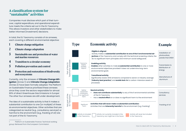# A classification system for "sustainable" activities

Companies must disclose which part of their turnover, capital expenditure, and operational expenditure meets the criteria set out in the EU Taxonomy. This allows investors and other stakeholders to make better informed (investment) decisions.

In total, the EU Taxonomy consists of six annexes, each covering a different environmental objective:

- Climate change mitigation
- 2 Climate change adaptation
- 3 Sustainable use and protection of water and marine resources
- 4 Transition to a circular economy
- 5 Pollution prevention and control
- 6 Protection and restoration of biodiversity and ecosystems

Currently, only the annexes of **Climate Change Mitigation** (Annex 1) and **Climate Change Adaptation** (Annex 2) have been formally adopted. The Platform on Sustainable Finance prioritized these annexes since they cover the sectors responsible for almost 80% of direct Greenhouse Gas Emissions in Europe<sup>1</sup>. The other four annexes are still under development.

The idea of a sustainable activity is that it makes a substantial contribution to one (or multiple) of these six environmental objectives. Other activities that are categorized as neutral (e.g., consultancy services) or harmful to the environment (e.g., fracking of oil) are not part of the EU Taxonomy.



# Type Economic activity Example

Activity not currently included in the Taxonomy, but might be in the future

# Taxonomy annexes Taxonomy annexes

Activity is included in the Taxonomy

Part of the EU

Part of the EU

Not part of the EU Taxonomy

Not part of the<br>EU Taxonomy

|                                                                    | Eligible & aligned<br>Activity makes a substantial contribution to one of the 6 environmental ob-<br>jectives of the Taxonomy and comply with the technical screening criteria, the<br>do no significant harm principles and minimum social safeguards | Installation of<br>photovoltaic<br>panels that DNSH |
|--------------------------------------------------------------------|--------------------------------------------------------------------------------------------------------------------------------------------------------------------------------------------------------------------------------------------------------|-----------------------------------------------------|
| Taxonomy<br>eligible,<br>possibly<br>aligned                       | <b>Enabling activity</b><br><b>Enables</b> other activities to make <b>a substantial contribution</b> to one or more<br>environmental objectives provided it does not undermine long-term<br>environmental goals                                       | Transmission &<br>distribution of<br>energy         |
|                                                                    | <b>Transitional activity</b><br>Significantly lowers GHG emissions compared to sector or industry average<br>(industry best practice) and avoids lock-in to carbon-intensive assets of<br>processes                                                    | Manufacture of<br>aluminum                          |
| Neither<br>substantial<br>contribution,<br>nor significant<br>harm | <b>Neutral activity:</b><br>Does not contribute substantially to any of the 6 environmental activities<br>of the EU Taxonomy<br>Has a neutral effect on or does no significant harm to the environment<br>$\bullet$                                    | Consultancy<br>services                             |
| Significant<br>harm                                                | Activities that will never make a substantial contribution:<br>Activities that are <b>inherently harmful</b> to the environment (e.g. Fracking)                                                                                                        | Fracking of oil                                     |

Activity will never be included in the Taxonomy

<sup>1</sup> Platform on Sustainable Finance: Technical working group. Retrieved from the European Commission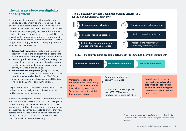# The difference between eligibility and alignment

It is important to capture the difference between 'eligibility' and 'alignment' to understand the EU Taxonomy. To be eligible, a certain activity needs to be covered under one of the six environmental objectives of the Taxonomy. Being eligible means that the economic activity of a company has the potential to have a significant impact on one of the environmental objectives. When an activity is aligned with the EU Taxonomy, it has to comply with the following requirements listed for the covered activity:

- **1. Substantially contribute**; make a substantial contribution to one of the six objectives, by complying with the technical screening criteria in the annexes.
- **2. Do-no-significant-harm (DNSH)**; the activity does no significant harm in relation to the other environmental objectives, as defined for every economic activity included in the annexes.
- **3. Minimum social safeguards (MSS)**; the activity is carried out in compliance with the minimum safeguards, which entails follwoing the OECD Guidelines for multinational enterprises and UN Guiding Principles on Business and Human Rights.

Only if it complies with all three of these steps can the activity be marked 'aligned' with the EU Taxonomy and become a sustainable activity.

It should be highlighted that the EU Taxonomy is still a work-in-progress and should be seen as a living document. Throughout the years, new technical screening criteria might be introduced when new technology or equipment becomes available. To ensure that new sectors and activities, including transitional and enabling activities, can be added to the scope over time, the criteria will be reviewed regularly.

#### The EU Taxonomy provides Technical Screening Criteria (TSC) for the six environmental objectives



#### The EU Taxonomy requires economic activities in the EU to fulfill certain requirements



<sup>\*</sup>How financial market participants have to report on the EU Taxonomy differs per institution. See chapter 3 for more information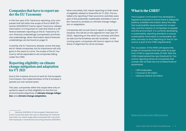# Companies that have to report under the EU Taxonomy

In this first year of EU Taxonomy reporting, only companies that fall within the scope of the EU NFRD (Directive 2014/95/EU)2 had to report Taxonomy-related information. It is important to note that there is a difference between reporting on the EU Taxonomy for non-financial undertakings (companies) and financial undertakings. More information about financial undertakings can be found on *page 14*.

Currently, the EU Taxonomy already covers the largest EU-listed companies, but its importance will only grow in the years to come. The scope of the EU Taxonomy will be expanded to all companies falling under the CSRD.

# Reporting eligibility on climate change mitigation and adaptation for FY 2021

Due to the massive amount of work for the European Commission, the implementation of the 6 annexes is spread out over several years.

This year, companies within the scope were only required to report on their eligibility for the first two environmental objectives of **climate change mitigation** and **climate change adaptation.** 

More concretely, this meant reporting on their *share of eligibility* related to three KPIs for FY 2021. This entailed only reporting if their economic activities were part of the potentially sustainable activities in one of the Taxonomy annexes on climate change mitigation or adaptation.

Companies did not yet have to report on alignment. However, this will be on the agenda for next year (FY 2022). Reporting on the other four annexes will follow as well, but the timelines are still uncertain. In the coming years, companies will have to report on their share of alignment for all six annexes.

# What is the CSRD?

The European Commission has developed a legislative proposal to ensure there is adequate publicly available information about the risks that sustainability issues present for companies, and the impacts of companies on people and the environment. It is currently developing a sustainability reporting standard, to ensure sustainability information is comparable, reliable, and easy to find. Reporting on the EU Taxonomy is part of the CSRD requirements.

The 'successor' of the NFRD will expand the scope of companies that fall under its scope from 11 000 to approximately 50 000. With the CSRD implemented the new threshold for Taxonomy reporting will be all companies that comply with at least two out of these three requirements:

- > 250 employees
- > Turnover € 40 million
- > Balance sheet  $\epsilon$  20 million

<sup>2</sup> Directive 2014/95/EU of the European Parliament and of the Council lays down the rules on disclosing non-financial information by certain large, listed companies with more than 500 employees. It amends the Accounting Directive 2013/34/EU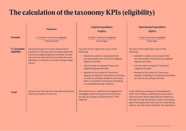# The calculation of the taxonomy KPIs (eligibility)

|                                  | <b>Turnover</b>                                                                                                                                                                                                                                                                   | <b>Capital Expenditure</b><br>(CapEx)                                                                                                                                                                                                                                                                                                                                                                                  | <b>Operational Expenditure</b><br>(OpEx)                                                                                                                                                                                                                                                                                                                                            |
|----------------------------------|-----------------------------------------------------------------------------------------------------------------------------------------------------------------------------------------------------------------------------------------------------------------------------------|------------------------------------------------------------------------------------------------------------------------------------------------------------------------------------------------------------------------------------------------------------------------------------------------------------------------------------------------------------------------------------------------------------------------|-------------------------------------------------------------------------------------------------------------------------------------------------------------------------------------------------------------------------------------------------------------------------------------------------------------------------------------------------------------------------------------|
| <b>Formula</b>                   | % Turnover Taxonomy eligibility                                                                                                                                                                                                                                                   | % CapEx Taxonomy eligibility                                                                                                                                                                                                                                                                                                                                                                                           | % OpEx Taxonomy eligibility                                                                                                                                                                                                                                                                                                                                                         |
| <b>% Taxonomy</b><br>eligibility | <b>Total turnover</b><br>The percentage of turnover derived from<br>products or services that are associated with<br>taxonomy eligible/aligned activities. (Exclud-<br>ing turnover derived from activities that sub-<br>stantially contribute to climate change adap-<br>tation) | <b>Total CapEx</b><br>The part of the CapEx that is any of the<br>following:<br>Related to assets or processes that<br>$\bullet$<br>are associated with taxonomy eligible/<br>aligned activities<br>Part of a plan to expand Taxonomy<br>eligible/aligned activities<br>Related to the output of Taxonomy<br>$\bullet$<br>aligned, enabling or transitional activities<br>as well as activities related to the instal- | <b>Total OpEx</b><br>The part of the OpEx that is any of the<br>following:<br>Related to assets or processes that<br>are associated with taxonomy eligible/<br>aligned activities<br>Part of a plan to expand Taxonomy<br>eligible activities<br>Related to the output of Taxonomy<br>$\bullet$<br>aligned, enabling or transitional activities<br>as well as renovating activities |
| <b>Total</b>                     | Net turnover derived from the sale of products<br>and the provision of services                                                                                                                                                                                                   | lation, renovation and repair of building<br>or renewable energy solutions<br>All investments or additions to tangible and<br>intangible assets during the financial year,<br>as well as business combinations (= IFRS<br>aligned)                                                                                                                                                                                     | Costs relating to research & development,<br>short-term leases, maintenance, renovation<br>and any other direct expenditures relating to<br>the day-to-day servicing of assets of property,<br>plant and equipment both by the undertaking<br>itself or any third party linked to the operations                                                                                    |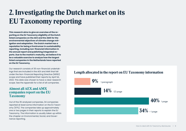# 2. Investigating the Dutch market on its EU Taxonomy reporting

**This research aims to give an overview of the reporting on the EU Taxonomy eligibility of the Dutch listed companies on the AEX and the AMX for the environmental objectives of climate change mitigation and adaptation. The Dutch market has a reputation for being a frontrunner in sustainability reporting, including non-financial information in the annual report and publishing integrated reports. Due to the market's maturity, we believe it to be a valuable exercise to analyze how the largest listed companies in the Netherlands have reported on the EU Taxonomy.** 

Our research consists of 35 non-financial undertakings that are included in the AEX and AMX that fall under the Non-Financial Reporting Directive (NFRD) scope and have published their reports by April 1st, 2022. This date was chosen to have a clear research scope. See the *Appendix* for a list of all companies.

## Almost all AEX and AMX companies report on the EU Taxonomy

Out of the 35 analyzed companies, 34 companies reported at least some information on the EU Taxonomy (97%). The companies take up approximately one or two pages in their reports to explain the EU Taxonomy. The information is usually taken up within the chapter on Environmental, Social, and Governance reporting.

# Length allocated in the report on EU Taxonomy information

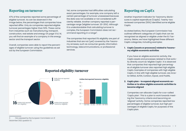# Reporting on turnover

47% of the companies reported some percentage of eligible turnover. As can be observed in the image below, the percentages that companies have reported differ. Only six companies reported eligible turnover percentages higher than 50%. These came from industries such as manufacturing, transport, construction, real estate and energy On *page 13 & 14*, you will find an example of a company in the energy sector and the transport sector.

Overall, companies were able to report the percentages of eligible turnover using the guidelines as set out by the European Commission.

Yet, some companies had difficulties calculating exact percentages. For example, one company left a certain percentage of turnover unassessed because the data was not available or not considered sufficiently reliable. Another company reported a percentage range (eligible turnover: 20-25%). Although it is understandable that calculating turnover is complex, the European Commission does not recommend reporting in a range<sup>3</sup>.

The companies that reported 0% eligibility are part of industries that are not (yet) covered by the Taxonomy annexes, such as consumer goods, information technology, telecommunications, or professional services.

# Reporting on CapEx

Another important indicator for Taxonomy disclosures is capital expenditure (CapEx). Twenty-two reviewed companies (65%) identified some eligible CapEx.

As stated before, the European Commission has outlined different categories of CapEx that can be recognized as aligned or eligible under the EU Taxonomy. Below, we have highlighted these different CapEx categories, including examples:

#### **1. CapEx (assets or processes) related to Taxonomy eligible economic activities**

If you have an eligible economic activity, the CapEx assets and processes related to that activity directly count as 'eligible CapEx'. It is observed that companies that reported high percentages of eligible turnover also reported high eligible CapEx. Examples of companies with high eligible CapEx, in line with high eligible turnover, are Arcelor Mittal, ALFEN, Corbion, Inpost, and PostNL.

#### **2. CapEx plan - to expand aligned economic activities or to allow eligible economic activities to become aligned**

Companies can allocate CapEx for a so-called 'CapEx plan'. This is a plan to work towards meeting the Taxonomy criteria and becoming an 'aligned' activity. Some companies reported low percentages of eligible turnover, but high percentages of eligible CapEx, for purposes of the CapEx plan.

16 Entities that reported and the state of the state of the state of the state of the state of the state of the state of the state of the state of the state of the state of the state of the state of the state of the state

# Reported eligibility: turnover

Entity that not reported

Entities that reported<br>Taxonomy-eligibility

eligibility

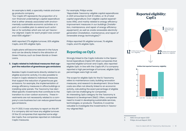An example is AMG, a specialty metals and energy products company:

*"Our CapEx KPI represents the proportion of a non-financial undertaking's capital expenditure that is either already associated with environmentally sustainable economic activities or is part of a credible plan to extend such activities or for activities which are not yet Taxonomy-aligned. CapEx for each project was considered 100% eligible4."* 

AMG reported 27% eligible turnover, 83% eligible CapEx, and 25% eligible OpEx.

CapEx plans will become relevant in the future and can be directly linked to the attraction of Green Finance, such as Green Bonds or Green Loans.

#### **3. CapEx related to individual measures that support the reduction of greenhouse gas emissions**

Besides CapEx investments directly related to an eligible economic activity, it is also possible to invest in CapEx related to individual measures that support the reduction of greenhouse gas emissions. For example, the implementation of energy efficiency measures in office buildings or installing solar panels. The Taxonomy has identified specific investments that contribute to the transition to a low-carbon economy . These investments are not necessarily related to a company's core business but can reduce greenhouse gas emissions.

For FY 2021, it was voluntary to report on this KPI if a company did not have any eligible turnover. Of the 22 companies that reported some eligible CapEx, five companies reported on individual CapEx measures.

For example, Philips wrote:

*"Reportable Taxonomy-eligible capital expenditures in 2021 amounted to EUR 10 million, or 1% of total capital expenditure (non-eligible capital expenditures 99%), and mainly related to energy efficiency improvement measures in our buildings (installation, maintenance, and repair of energy efficiency equipment), as well as onsite renewable electricity generation (installation, maintenance, and repair of renewable energy technologies)5."* 

Philips reported 0% eligible turnover, 1% eligible CapEx, and 0% eligible OpEx.

# Reporting on OpEx

Strongly linked to the CapEx indicator is the Operational Expenditure (OpEx) KPI. Most companies that reported eligible turnover and CapEx, also reported eligible OpEx. In line with the CapEx KPI, if a company reported a high percentage of turnover, eligible OpEx percentages were high as well.

The scope for eligible OpEx for the EU Taxonomy refers to maintenance costs, building renovation measures, and research & development. Since these costs are often not directly linked to an economic activity, calculating the exact percentage of eligible OpEx can be challenging for companies. An interesting OpEx category for the Taxonomy is Research & Development (R&D). Often, companies need to invest in developing sustainable services, technologies, or products. Therefore, it could be valuable to investigate the investments in Taxonomy-aligned R&D.





5 Philips Annual Report 2021

<sup>4</sup> AMG Annual report 2021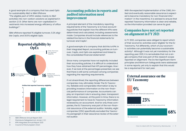A good example of a company that has used OpEx for sustainability R&D is SBM Offshore: *"The eligible part of OPEX relates mainly to R&D activities into non-carbon solutions as explained in section 2.1.9. Other items are non-capitalized investments into increased energy efficiency of office buildings6."* 

SBM offshore reported 1% eligible turnover, 0.2% eligible CapEx, and 30.5% eligible OpEx.





- 6 SBM Offshore Annual Report 2021
- 7 Disclosure Delegated Act, Annex 1, 1.2.1.
- 8 KPN Integrated Annual Report 2021
- 9 Council of the European Union

## Accounting policies in reports and audited information need improvement

A principal element of the mandatory reporting requirements of the Taxonomy is to have accounting policies that explain how the different KPIs were determined and calculated, including assessments made. Companies should include references to the related line items in the financial statements for turnover and CapEx<sup>7</sup>.

A good example of a company that did this is KPN: in their Integrated Report, accounting policies on turnover, CapEx, and OpEx are explained and linked to the consolidated financial statements<sup>8</sup>.

Since many companies have not explicitly included their accounting policies, it is difficult to understand how they have obtained their KPI percentages. However, if we look at the percentages presented, we see that there is still some confusion among companies regarding the reporting requirements.

If not streamlined, the reporting differences between companies may ultimately hinder The EU Taxonomy. Reliable and comparable information is key to providing investors information on the non-financial performance of companies. Accountants can play an important role in ensuring clear, transparent information. However, at this point in time, there is no legal requirement to have EU Taxonomy information reviewed by an accountant. And for only three companies, the EU Taxonomy was part of the non-financial assurance of the external auditor. Notably, eight companies (23%) specifically excluded the Taxonomy paragraph in their assurance review of the external auditor.

With the expected implementation of the CSRD, limited and eventually reasonable assurance is expected to become mandatory for non-financial information<sup>9</sup>. In the meantime, it is advised to ensure that reported Taxonomy information is clear and reliable, so the information provided can serve its goal.

# Companies have not yet reported on alignment in FY 2021

In FY 2021, companies were obliged to report which of their economic activities were 'eligible' for the EU Taxonomy. Put differently, which of your economic activities can potentially become a sustainable activity? Although it was not yet mandatory for the reporting year 2021, it is remarkable that not a single company that was part of this research scope reported on alignment. The Do Not Significant Harm principles and Minimum Safeguards were addressed in some reports, yet only to explain that this would be a requirement for next year.

# External assurance on the EU Taxonomy



No assurance

68%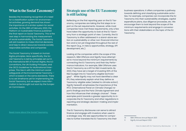# What is the Social Taxonomy?

Besides the increasing recognition of a need for a classification system for environmental activities, growing demand has shown the importance of a similar system for social activities. On the 28th of February 2022, the Platform on Sustainable Finance published the final report on Social Taxonomy. This is the next step in harmonizing the measurement of social sustainability. The Social Taxonomy will aid investors to make informal decisions and help to direct resources towards socially responsible activities and companies

The Social Taxonomy is based on Human Rights principles. More specifically, the Social Taxonomy is led by principles set out in the International Bill of Human Rights, the ILO conventions, the UN Guiding Principles, and the OECD Guidelines for Multinational Enterprises. This ties in with the minimum social safeguards of the Environmental Taxonomy – which is based on the same standards. There is no set timeframe yet for implementing the Social Taxonomy, but we expect more information to be brought out soon by the European Commission.

[Read more about the Social Taxonomy.](https://www.sustainalize.com/nieuws/social-taxonomy-report/?lang=nl)

### Strategic use of the EU Taxonomy is still lacking

Reflecting on the first reporting year on the EU Taxonomy, companies are taking the first steps to report on the set requirements. However, while most companies have met these requirements, only a few have taken the opportunity to look at the EU Taxonomy from a strategic point of view. Currently, the EU Taxonomy is often addressed in a stand-alone section on sustainability or other non-financial information and is not yet integrated throughout the rest of the report (e.g., in risks & opportunities, strategy, KPI development, etc.).

Looking at the companies within the scope of this research, SBM Offshore and Signify have attempted to move beyond the minimum requirements by connecting the EU Taxonomy and their Key Performance Indicators. For example, SBM Offshore uses the EU Taxonomy as a KPI for R&D investments. By 2022, they have set a target of investing 50% of the R&D budget into EU Taxonomy eligible technologies<sup>10</sup>. While Signify may not have identified a clear KPI, they extensively explain what they define as Taxonomy-eligible sales (related to climate action). Signify herewith emphasizes the importance of the IPCC (International Panel on Climate Change) report's findings and the Paris Climate Agreement and how this influences their strategic choices<sup>11</sup>. These examples point towards a greater opportunity to incorporate the EU Taxonomy and other regulations in reporting and strategic decision-making and implementation.

The EU Taxonomy disclosures can serve to attract finance and engage with investors when used in a strategic way. We see opportunities for companies to further translate the EU Taxonomy into their

business operations. It offers companies a pathway towards defining and classifying sustainable activities. For example, companies can incorporate the EU Taxonomy into their sustainability strategies, capital expenditure plans, due diligence processes, etc. We encourage them to look beyond the scope of the minimum requirements and engage in conversations with their stakeholders on the topic of the EU Taxonomy.

<sup>10</sup> SBM Offshore Annual Report 2021

<sup>11</sup> Signify Annual Report 2021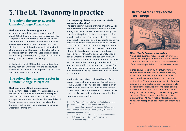# 3. The EU Taxonomy in practice

# The role of the energy sector in Climate Change Mitigation

#### **The importance of the energy sector**

As heat and electricity generation accounts for about 25% of the greenhouse gas emissions in the European Union, this sector is seen as vital to the decarbonization process<sup>12</sup>. The EU Taxonomy acknowledges the crucial role of this sector by including it as one of the primary sectors for climate change mitigation. However, it only includes those economic activities that are linked to renewables: solar, wind, geothermal, and hydropower, as well as energy activities linked to bio-energy.

At the beginning of 2022, certain gas and nuclear energy activities were added to the list. However, these activities are yet to be approved by the European Parliament and Council<sup>13</sup>.

# The role of the transport sector in Climate Change Mitigation

#### **The importance of the transport sector**

To achieve the targets set by the European Union for 2050, a 90% reduction is needed in transport emissions compared to the 1990 baseline. As the transport sector is responsible for about a third of all European energy consumption, a significant contribution is asked from the road, rail, aviation, and waterborne transport<sup>14</sup>.

#### **The complexity of the transport sector: who is accountable for what?**

The complexity of the role of transport in the EU Taxonomy resides in the fact that transport is a facilitating activity for its main activities for many corporations. The price paid for this transport is often included in the cost of sales for their main product or service. It is only considered a separate economic activity when it results in external revenue. For example, when a subcontractor or third party performs the transport, a company first needs to determine whether it should report turnover or not (based on the IFRS rules). If this is the case, the entity should decide whether it controls the economic activity provided by the subcontractor. 'Control' in this context means whether the entity controls the circumstances under which the subcontractor works. Only when a company has operational control over the subcontractor, it should report on the activity for the EU Taxonomy.

Another element to be considered is that of transport services that are consumed internally and externally. Under Taxonomy-eligible reporting, an entity should only include the turnover from external sales in its numerator. Turnover from 'internal sales' could be disclosed voluntarily; thus, a choice that may vary per corporation.

14 Platform on Sustainable Finance: Technical working group. Retrieved from the European Commission

15 Alfen Annual Report 2021

## The role of the energy sector - an example



#### *Alfen – The EU Taxonomy in practice*

Alfen's core business focuses on smart grid, electric vehicle charging, and energy storage. Almost all these economic activities fall within the scope of the currently published EU Taxonomy annexes.

In their annual report<sup>15</sup>, 98,8% of turnover is considered eligible under the EU Taxonomy scope, 90,3% of their capital expenditures and 100% of their operational expenditures. Due to recent investments in IT infrastructure, about 10% of capital expenditures are excluded from this scope, while all operational expenses are considered eligible. Alfen states that it operates at the heart of the energy transition, working on the electricity grid of the future. The company is required to report on alignment for FY 2022. It will be interesting to see what Alfen will report on Taxonomy alignment next year.

<sup>12</sup> Platform on Sustainable Finance: Technical working group. Retrieved from the European Commission.

<sup>13</sup> European Commission, Press Release: EU Taxonomy: commission presents complementary delegated act to accelerate decarbonization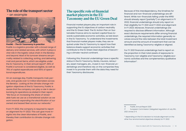### The role of the transport sector - an example



*PostNL - The EU Taxonomy in practice*

PostNL is a logistics provider with a broad range of delivery and related services, with which it plays a vital role in the logistic value chain in the Benelux and beyond. Most of its turnover streams are primality related to collecting, sorting, and delivering mail and parcel items, which are eligible under the EU Taxonomy. In their annual report<sup>16</sup>, 86% of PostNL's turnover is considered eligible, as well as 76% of capital expenditures and 100% of operational expenditures.

On an average day, PostNL transports mail, parcels, and goods over 1.2 million kilometers across the Benelux. Looking at the climate change mitigation objectives of the EU Taxonomy, PostNL is aware that the company can play a role in decarbonizing its operations as stated in their report: *"We focus on increasing the share of renewable fuels we use as a transitional solution as we work towards expanding the electrification of our owned and leased fleet across our networks."* 

From FY 2022, the company is required to report on alignment for FY 2022. This can give more insights into the clean kilometers of PostNL, and thereby their contribution to climate change mitigation.

### The specific role of financial market players in the EU Taxonomy and the EU Green Deal

Financial market players play an important role in supporting the EU objectives of carbon neutrality and the EU Green Deal. The EU Action Plan on Sustainable Finance aims to reorient capital flows towards sustainable economic activities, as laid down in the EU Taxonomy. To understand the investments that financial market players make, they are required under the EU Taxonomy to report how their balance sheets support economic activities that contribute to the EU Green Deal objective of becoming a climate-neutral continent.

Following this, financial undertakings have a specific status in the EU Taxonomy. Banks, insurers, reinsurers, asset managers, etc., invest in non-financial undertakings and therefore rely on the companies they invest in to provide them with the data they need for their Taxonomy disclosures.

Because of this interdependency, the timelines for financial and non-financial undertakings are different. While non-financials falling under the NFRD should already report (partially\*) on alignment in FY 2022, financial undertakings should only report on their eligibility for FY 2021 and FY 2022 and alignment in FY 2023. Moreover, financial undertakings are required to disclose different information. Although exact disclosure requirements differ among financial undertakings, the required information generally revolves around the ratio between the total investment amount and the amount of investment that can be identified as being Taxonomy-eligible or aligned.

For FY 2021 financial undertakings had to report on the proportion in their total assets of exposures to Taxonomy non-eligible and Taxonomy-eligible economic activities and the complementary qualitative information<sup>17</sup>.

<sup>16</sup> PostNL Annual Report 2021

<sup>17</sup> European Commission: Delegated regulation of July 6th, 2021. Annex 2-11.

<sup>\*</sup> depending on the EU's decision to include alignment on the other four environmental objectives already for FY 2022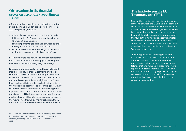## Observations in the financial sector on Taxonomy reporting on FY 2021

A few general observations regarding the reporting made by financial undertakings listed on the AEX or AMX in reporting year 2021:

- All the disclosures made by the financial under takings on the EU Taxonomy are quite extensive (between 3 and 5 pages).
- Eligibility percentages all range between approxi mately 30% and 40% of the total assets.
- None of the financial undertakings have tried to estimate or calculate their alignment KPIs yet.

It is interesting to see how the financial undertakings have handled the information gaps regarding the calculation of their total eligibility percentage.

Financial undertakings did not yet have full insight into the eligibility of their investments or other as sets when publishing their annual report. Because of this, they couldn't calculate exactly how much of their total asset portfolio was eligible or not. Some have worked with internally available information on their assets and estimates to close this gap $18$ . Others solved these data limitations by determining their exposure to corporate counterparties as 'zero' for the time being. It will be interesting to see how financial market players will handle these information gaps in the future since this will be mainly reliant on the in formation presented by non-financial undertakings.

# The link between the EU Taxonomy and SFRD

Relevant to mention for financial undertakings is the link between the SFDR and the Taxonomy since this affects the financial undertakings on a product level. The SFDR obliges financial mar ket players that market their funds as an art. 8 or art. 9 funds to report on the proportion of their funds that have sustainability character istics or a sustainable objective by July of 2022. These sustainability characteristics or sustain able objectives are directly linked to their EU Taxonomy alignment.

The timing, however, is proving to be prob lematic since the art. 8 and art. 9 funds must disclose how much of their funds are Taxon omy-aligned before the non-financial under takings that are included in these funds have reported on alignment themselves. This puts the fund owners in a tough spot since they are required by law to disclose information that is not yet available and over which they them selves have no control.

<sup>18</sup> The inclusion of estimates in the mandatory disclosures is prohibited by the EU. Estimates can only be included in voluntary reporting. See Question 12 of FAQ December 2021.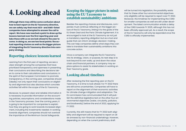# 4. Looking ahead

**Although there may still be some confusion about how to best report on the EU Taxonomy directive, we can safely say that most AEX- and AMX-listed companies have attempted to answer the call to report. We have now reached a point to draw up the lessons learned over the first reporting year and take these with us as we look ahead to the year to come. In doing so, we see two focal points: the actual reporting choices as well as the bigger picture of integrating the EU Taxonomy directive into company strategy.** 

# Reporting choices: lessons learned

Learning from the first year of reporting, we see a clear strength among the companies that have prioritized transparency and openness in presenting their conclusions and describing the decisions taken to come to their calculations and conclusions. In the spirit of the European Commission to promote transparency, in the coming year, companies should (ideally) not only report their conclusions on eligibility and alignment but also disclose which concrete activities fall within the scope of the EU Taxonomy.

Moreover, to present clear and reliable information it is necessary to provide information on the accounting policies, assumptions, and considerations made in the Taxonomy process. Over the coming years, it is going to be important for companies to explain how they are going to work towards increased alignment, including the investments needed. In working towards alignment, companies should not overlook the importance of the Minimum Social Safeguards.

### Keeping the bigger picture in mind: using the EU Taxonomy to establish sustainability ambitions

Besides the reporting choices and disclosures, companies must continue reflecting on the bigger picture of the EU Taxonomy, linking it to the goals of the EU Green Deal and the Paris Climate Agreement. It is encouraged to look at the EU Taxonomy as not just a mandatory reporting obligation but as a tool and guide that can inform strategic decision-making. This can help companies define what steps they can take to translate their sustainability ambitions into concrete action.

Once a company can integrate the EU Taxonomy into its strategy, vision, or purpose, its next step is to look beyond its own walls, up and down the value chain and financial partners. A company may explore options to assist its stakeholders in working on their Taxonomy goals.

# Looking ahead: timelines

After reviewing the first reporting year on the EU Taxonomy, it is time to look ahead. For FY 2022 there are still some uncertainties. Companies will have to report on the alignment of their economic activities for climate change mitigation and adaptation. The EU commission has communicated that it will publish the definitive legislative text on the other four environmental objectives (water, circularity, pollution, and biodiversity) before the end of 2022, applying for FY 2022.

Currently, this still means that for FY 2022 both eligibility and alignment will be required to report on all six annexes by non-financial undertakings. However, depending on when the current preliminary draft

will be turned into legislation, the possibility exists that for these other four environmental objectives only eligibility will be required to report over FY 2022. Moreover, the timelines for implementing the CSRD for smaller companies as well are still under development. The latest communication entails a delay of the CSRD towards FY 2025, although this has not been officially approved yet. As a result, the scope of the EU Taxonomy will only be expanded once the CSRD is officially implemented.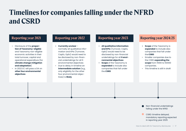# Timelines for companies falling under the NFRD and CSRD

# Reporting year 2021

- Disclosure of the **proportion of Taxonomy-eligible**  and Taxonomy non-eligible economic activities in their total turnover, capital and operational expenditure (for **climate change mitigation and adaptation**)
- In 2022 EC will pass a DA on **other four environmental objectives**

# Reporting year 2022

- **• Currently unclear** normally all qualitative information and KPIs (Turnover, CapEx, OpEx) would need to be disclosed by non-financial undertakings for all 6 environmental objectives
- Due to delay in timeline an **intermediate solution** (e.g., only eligibility for the other four environmental objectives) is **likely**

## Reporting year 2023

- **• All qualitative information and KPIs** (Turnover, CapEx, OpEx) would need to be disclosed by non-financial undertakings for all **6 environmental objectives**
- **• Scope** of the Taxonomy is **expanded** to include also companies that fall under the **CSRD**

### Reporting year 2024/25

- **• Scope** of the Taxonomy is **expanded** to include also companies that fall under the **CSRD**
- Smaller companies due to the CSRD **expanding the scope** from 11000 to 50000 companies.
- This timeline is still in draft

- Non-financial undertakings falling under the NFRD
- CSRD: timeline delayed, mandatory reporting expected in reporting year 2025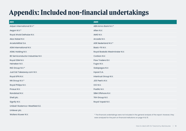# Appendix: Included non-financial undertakings

| <b>AEX</b>                       | <b>AMX</b>                                                                                          |
|----------------------------------|-----------------------------------------------------------------------------------------------------|
| Adyen International B.V.*        | ABN Amro Bank N.V.*                                                                                 |
| Aegon N.V.*                      | Alfen N.V.                                                                                          |
| Royal Ahold Delhaize N.V.        | AMG N.V.                                                                                            |
| Akzo Nobel N.V.                  | Arcadis N.V.                                                                                        |
| ArcelorMittal S.A.               | <b>ASR Nederland N.V.*</b>                                                                          |
| ASM International N.V.           | Basic-Fit N.V.                                                                                      |
| ASML Holding N.V.                | Royal Boskalis Westminster N.V.                                                                     |
| BE Semiconductor Industries N.V. | Corbion N.V.                                                                                        |
| Royal DSM N.V.                   | Flow Traders B.V.                                                                                   |
| Heineken N.V.                    | Fugro N.V.                                                                                          |
| ING Group N.V.*                  | Galapagos N.V.                                                                                      |
| Just Eat Takeaway.com N.V.       | Inpost S.A.                                                                                         |
| Royal KPN N.V.                   | Intertrust Group N.V.                                                                               |
| NN Group N.V.*                   | JDE Peet's N.V.                                                                                     |
| Royal Philips N.V.               | OCI N.V.                                                                                            |
| Prosus N.V.                      | PostNL N.V.                                                                                         |
| Randstad N.V.                    | SBM Offshore N.V.                                                                                   |
| Shell plc.                       | TKH Group N.V.                                                                                      |
| Signify N.V.                     | Royal Vopak N.V.                                                                                    |
| Unibail-Rodamco-Westfield S.E.   |                                                                                                     |
| Unilever plc.                    |                                                                                                     |
| Wolters Kluwer N.V.              | * The financial undertakings were not included in the general analysis of the report. However, they |

were analyzed for the part on financial institutions on page 14 & 15.